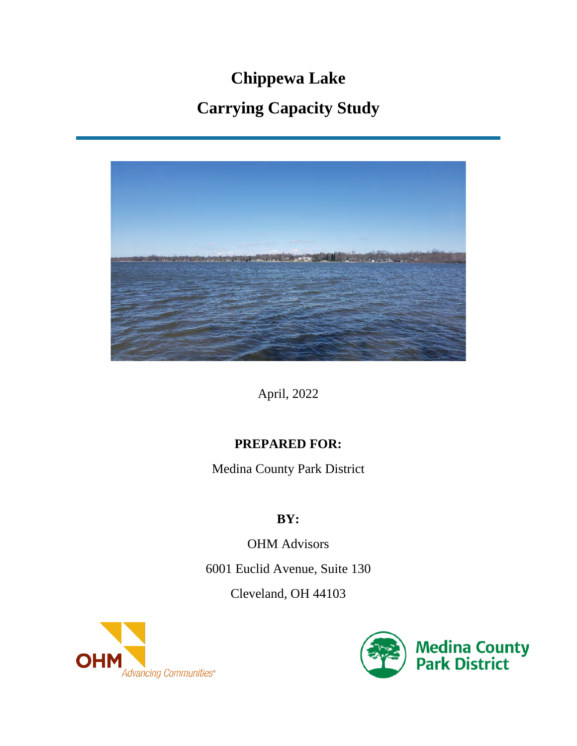# **Chippewa Lake Carrying Capacity Study**



April, 2022

# **PREPARED FOR:**

Medina County Park District

# **BY:**

OHM Advisors 6001 Euclid Avenue, Suite 130 Cleveland, OH 44103



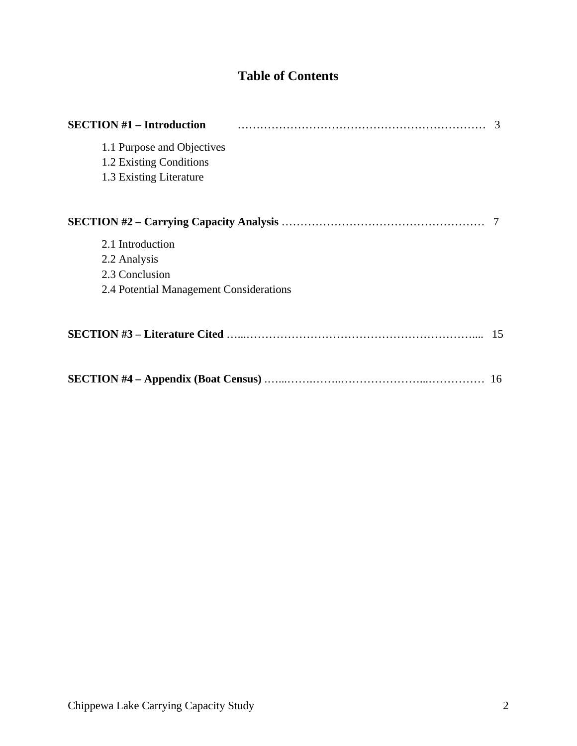# **Table of Contents**

| <b>SECTION #1 – Introduction</b>        | 3  |
|-----------------------------------------|----|
| 1.1 Purpose and Objectives              |    |
| 1.2 Existing Conditions                 |    |
| 1.3 Existing Literature                 |    |
|                                         |    |
|                                         |    |
| 2.1 Introduction                        |    |
| 2.2 Analysis                            |    |
| 2.3 Conclusion                          |    |
| 2.4 Potential Management Considerations |    |
|                                         | 15 |
|                                         | 16 |
|                                         |    |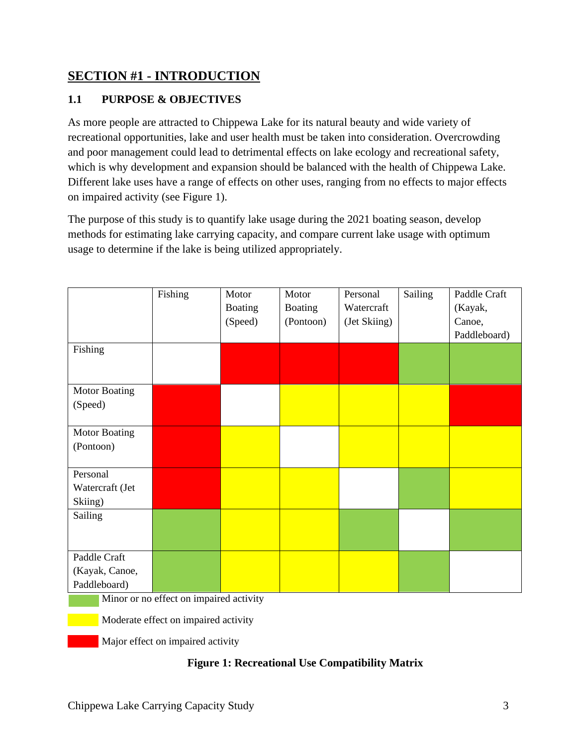# **SECTION #1 - INTRODUCTION**

### **1.1 PURPOSE & OBJECTIVES**

As more people are attracted to Chippewa Lake for its natural beauty and wide variety of recreational opportunities, lake and user health must be taken into consideration. Overcrowding and poor management could lead to detrimental effects on lake ecology and recreational safety, which is why development and expansion should be balanced with the health of Chippewa Lake. Different lake uses have a range of effects on other uses, ranging from no effects to major effects on impaired activity (see Figure 1).

The purpose of this study is to quantify lake usage during the 2021 boating season, develop methods for estimating lake carrying capacity, and compare current lake usage with optimum usage to determine if the lake is being utilized appropriately.

|                                         | Fishing | Motor          | Motor          | Personal     | Sailing | Paddle Craft |
|-----------------------------------------|---------|----------------|----------------|--------------|---------|--------------|
|                                         |         | <b>Boating</b> | <b>Boating</b> | Watercraft   |         | (Kayak,      |
|                                         |         | (Speed)        | (Pontoon)      | (Jet Skiing) |         | Canoe,       |
|                                         |         |                |                |              |         | Paddleboard) |
| Fishing                                 |         |                |                |              |         |              |
|                                         |         |                |                |              |         |              |
|                                         |         |                |                |              |         |              |
| <b>Motor Boating</b>                    |         |                |                |              |         |              |
| (Speed)                                 |         |                |                |              |         |              |
|                                         |         |                |                |              |         |              |
| <b>Motor Boating</b>                    |         |                |                |              |         |              |
| (Pontoon)                               |         |                |                |              |         |              |
|                                         |         |                |                |              |         |              |
| Personal                                |         |                |                |              |         |              |
| Watercraft (Jet                         |         |                |                |              |         |              |
| Skiing)                                 |         |                |                |              |         |              |
| Sailing                                 |         |                |                |              |         |              |
|                                         |         |                |                |              |         |              |
|                                         |         |                |                |              |         |              |
| Paddle Craft                            |         |                |                |              |         |              |
| (Kayak, Canoe,                          |         |                |                |              |         |              |
| Paddleboard)                            |         |                |                |              |         |              |
| Minor or no effect on impaired activity |         |                |                |              |         |              |

**Moderate effect on impaired activity** 

Major effect on impaired activity

#### **Figure 1: Recreational Use Compatibility Matrix**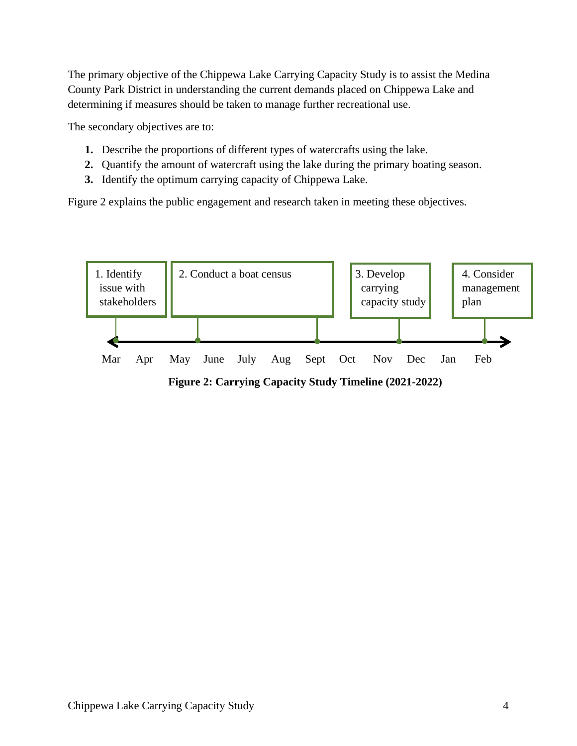The primary objective of the Chippewa Lake Carrying Capacity Study is to assist the Medina County Park District in understanding the current demands placed on Chippewa Lake and determining if measures should be taken to manage further recreational use.

The secondary objectives are to:

- **1.** Describe the proportions of different types of watercrafts using the lake.
- **2.** Quantify the amount of watercraft using the lake during the primary boating season.
- **3.** Identify the optimum carrying capacity of Chippewa Lake.

Figure 2 explains the public engagement and research taken in meeting these objectives.

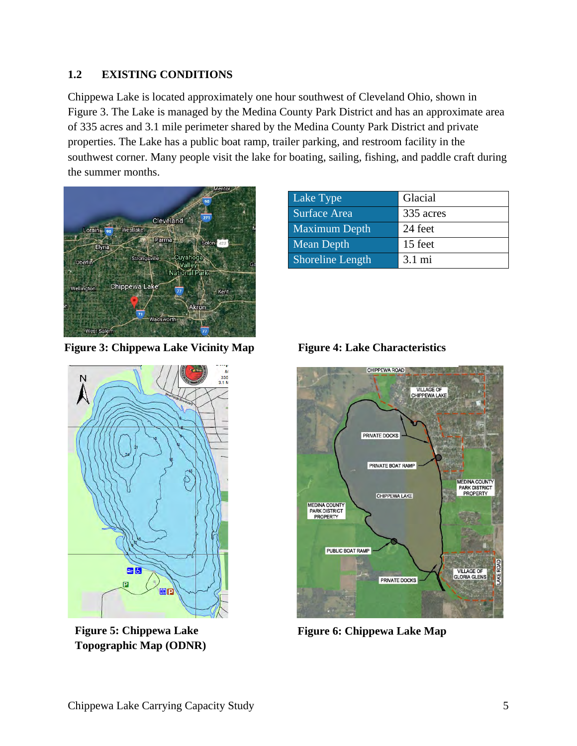#### **1.2 EXISTING CONDITIONS**

Chippewa Lake is located approximately one hour southwest of Cleveland Ohio, shown in Figure 3. The Lake is managed by the Medina County Park District and has an approximate area of 335 acres and 3.1 mile perimeter shared by the Medina County Park District and private properties. The Lake has a public boat ramp, trailer parking, and restroom facility in the southwest corner. Many people visit the lake for boating, sailing, fishing, and paddle craft during the summer months.



**Figure 3: Chippewa Lake Vicinity Map**

| Lake Type               | Glacial          |
|-------------------------|------------------|
| Surface Area            | 335 acres        |
| <b>Maximum Depth</b>    | 24 feet          |
| Mean Depth              | 15 feet          |
| <b>Shoreline Length</b> | $3.1 \text{ mi}$ |





**Topographic Map (ODNR)**



Figure 5: Chippewa Lake Figure 6: Chippewa Lake Map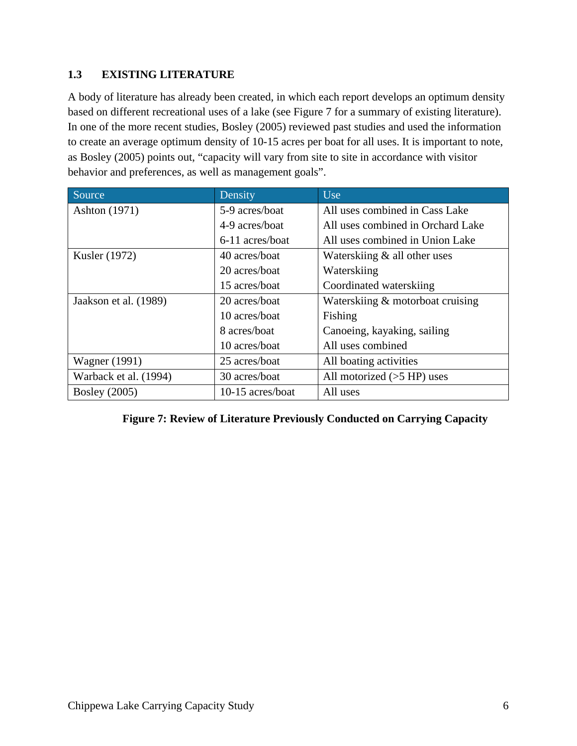#### **1.3 EXISTING LITERATURE**

A body of literature has already been created, in which each report develops an optimum density based on different recreational uses of a lake (see Figure 7 for a summary of existing literature). In one of the more recent studies, Bosley (2005) reviewed past studies and used the information to create an average optimum density of 10-15 acres per boat for all uses. It is important to note, as Bosley (2005) points out, "capacity will vary from site to site in accordance with visitor behavior and preferences, as well as management goals".

| Source                | Density          | <b>Use</b>                        |
|-----------------------|------------------|-----------------------------------|
| Ashton (1971)         | 5-9 acres/boat   | All uses combined in Cass Lake    |
|                       | 4-9 acres/boat   | All uses combined in Orchard Lake |
|                       | 6-11 acres/boat  | All uses combined in Union Lake   |
| Kusler (1972)         | 40 acres/boat    | Waterskiing & all other uses      |
|                       | 20 acres/boat    | Waterskiing                       |
|                       | 15 acres/boat    | Coordinated waterskiing           |
| Jaakson et al. (1989) | 20 acres/boat    | Waterskiing & motorboat cruising  |
|                       | 10 acres/boat    | Fishing                           |
|                       | 8 acres/boat     | Canoeing, kayaking, sailing       |
|                       | 10 acres/boat    | All uses combined                 |
| <b>Wagner</b> (1991)  | 25 acres/boat    | All boating activities            |
| Warback et al. (1994) | 30 acres/boat    | All motorized $(55$ HP) uses      |
| <b>Bosley</b> (2005)  | 10-15 acres/boat | All uses                          |

|  | Figure 7: Review of Literature Previously Conducted on Carrying Capacity |  |  |  |
|--|--------------------------------------------------------------------------|--|--|--|
|  |                                                                          |  |  |  |
|  |                                                                          |  |  |  |
|  |                                                                          |  |  |  |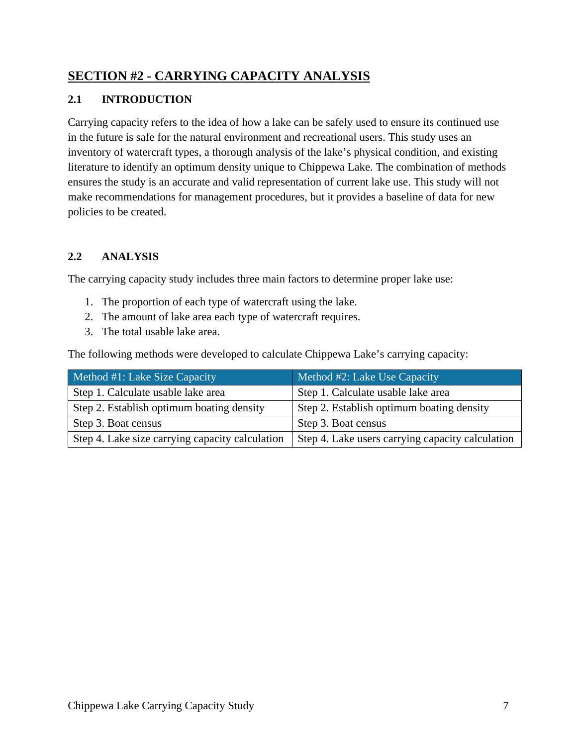# **SECTION #2 - CARRYING CAPACITY ANALYSIS**

#### **2.1 INTRODUCTION**

Carrying capacity refers to the idea of how a lake can be safely used to ensure its continued use in the future is safe for the natural environment and recreational users. This study uses an inventory of watercraft types, a thorough analysis of the lake's physical condition, and existing literature to identify an optimum density unique to Chippewa Lake. The combination of methods ensures the study is an accurate and valid representation of current lake use. This study will not make recommendations for management procedures, but it provides a baseline of data for new policies to be created.

#### **2.2 ANALYSIS**

The carrying capacity study includes three main factors to determine proper lake use:

- 1. The proportion of each type of watercraft using the lake.
- 2. The amount of lake area each type of watercraft requires.
- 3. The total usable lake area.

The following methods were developed to calculate Chippewa Lake's carrying capacity:

| Method #1: Lake Size Capacity                   | Method #2: Lake Use Capacity                     |
|-------------------------------------------------|--------------------------------------------------|
| Step 1. Calculate usable lake area              | Step 1. Calculate usable lake area               |
| Step 2. Establish optimum boating density       | Step 2. Establish optimum boating density        |
| Step 3. Boat census                             | Step 3. Boat census                              |
| Step 4. Lake size carrying capacity calculation | Step 4. Lake users carrying capacity calculation |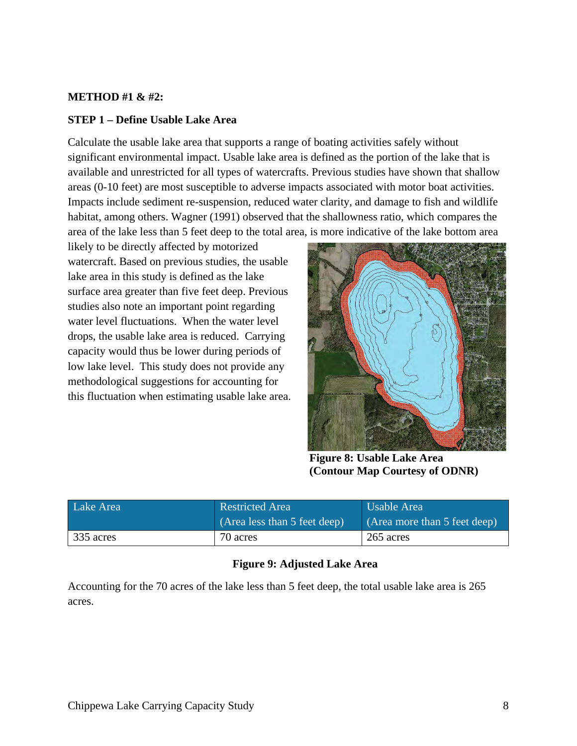#### **METHOD #1 & #2:**

#### **STEP 1 – Define Usable Lake Area**

Calculate the usable lake area that supports a range of boating activities safely without significant environmental impact. Usable lake area is defined as the portion of the lake that is available and unrestricted for all types of watercrafts. Previous studies have shown that shallow areas (0-10 feet) are most susceptible to adverse impacts associated with motor boat activities. Impacts include sediment re-suspension, reduced water clarity, and damage to fish and wildlife habitat, among others. Wagner (1991) observed that the shallowness ratio, which compares the area of the lake less than 5 feet deep to the total area, is more indicative of the lake bottom area

likely to be directly affected by motorized watercraft. Based on previous studies, the usable lake area in this study is defined as the lake surface area greater than five feet deep. Previous studies also note an important point regarding water level fluctuations. When the water level drops, the usable lake area is reduced. Carrying capacity would thus be lower during periods of low lake level. This study does not provide any methodological suggestions for accounting for this fluctuation when estimating usable lake area.



**Figure 8: Usable Lake Area (Contour Map Courtesy of ODNR)** 

| Lake Area | <b>Restricted Area</b>       | Usable Area                  |
|-----------|------------------------------|------------------------------|
|           | (Area less than 5 feet deep) | (Area more than 5 feet deep) |
| 335 acres | 70 acres                     | 265 acres                    |

#### **Figure 9: Adjusted Lake Area**

Accounting for the 70 acres of the lake less than 5 feet deep, the total usable lake area is 265 acres.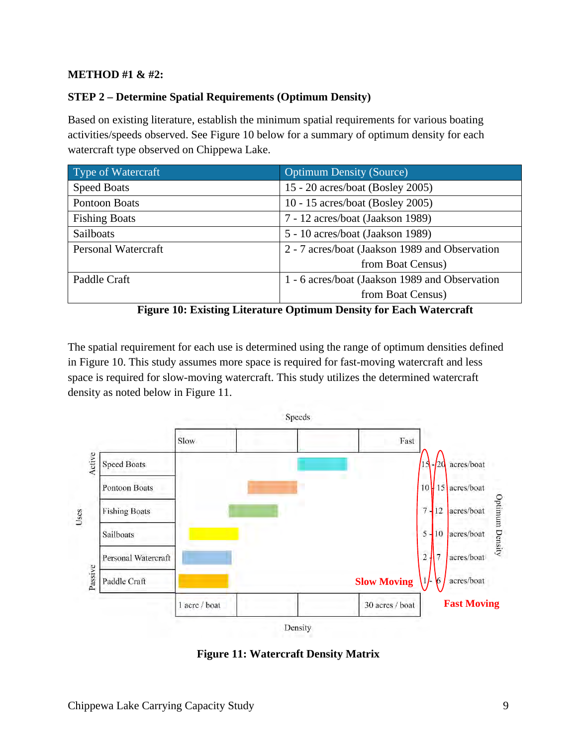#### **METHOD #1 & #2:**

#### **STEP 2 – Determine Spatial Requirements (Optimum Density)**

Based on existing literature, establish the minimum spatial requirements for various boating activities/speeds observed. See Figure 10 below for a summary of optimum density for each watercraft type observed on Chippewa Lake.

| Type of Watercraft   | <b>Optimum Density (Source)</b>                |  |
|----------------------|------------------------------------------------|--|
| <b>Speed Boats</b>   | 15 - 20 acres/boat (Bosley 2005)               |  |
| Pontoon Boats        | 10 - 15 acres/boat (Bosley 2005)               |  |
| <b>Fishing Boats</b> | 7 - 12 acres/boat (Jaakson 1989)               |  |
| Sailboats            | 5 - 10 acres/boat (Jaakson 1989)               |  |
| Personal Watercraft  | 2 - 7 acres/boat (Jaakson 1989 and Observation |  |
|                      | from Boat Census)                              |  |
| Paddle Craft         | 1 - 6 acres/boat (Jaakson 1989 and Observation |  |
|                      | from Boat Census)                              |  |



The spatial requirement for each use is determined using the range of optimum densities defined in Figure 10. This study assumes more space is required for fast-moving watercraft and less space is required for slow-moving watercraft. This study utilizes the determined watercraft density as noted below in Figure 11.



**Figure 11: Watercraft Density Matrix**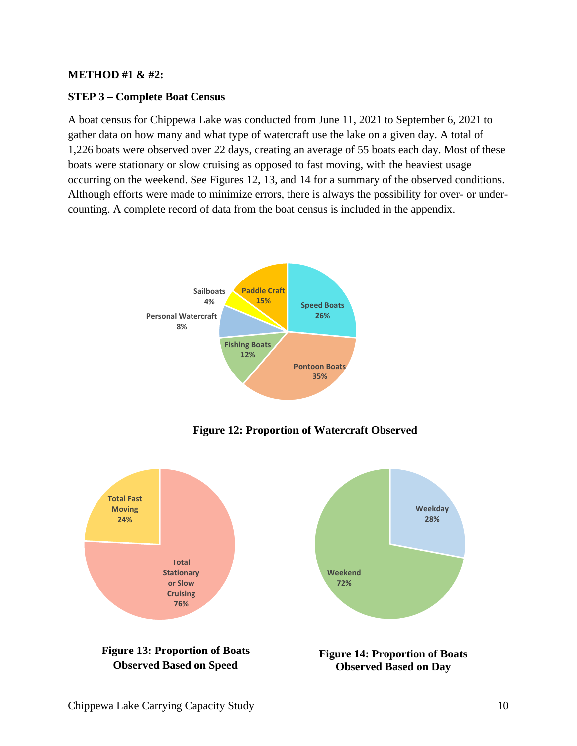#### **METHOD #1 & #2:**

#### **STEP 3 – Complete Boat Census**

A boat census for Chippewa Lake was conducted from June 11, 2021 to September 6, 2021 to gather data on how many and what type of watercraft use the lake on a given day. A total of 1,226 boats were observed over 22 days, creating an average of 55 boats each day. Most of these boats were stationary or slow cruising as opposed to fast moving, with the heaviest usage occurring on the weekend. See Figures 12, 13, and 14 for a summary of the observed conditions. Although efforts were made to minimize errors, there is always the possibility for over- or undercounting. A complete record of data from the boat census is included in the appendix.



**Figure 12: Proportion of Watercraft Observed** 

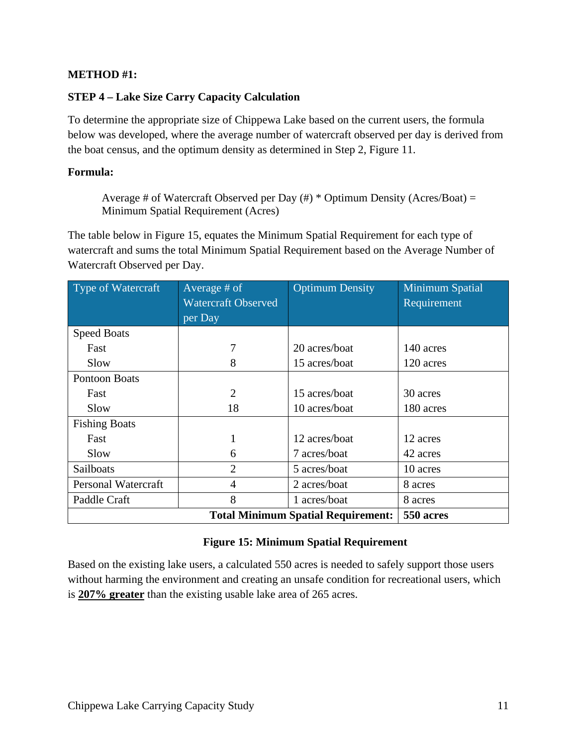#### **METHOD #1:**

#### **STEP 4 – Lake Size Carry Capacity Calculation**

To determine the appropriate size of Chippewa Lake based on the current users, the formula below was developed, where the average number of watercraft observed per day is derived from the boat census, and the optimum density as determined in Step 2, Figure 11.

#### **Formula:**

Average # of Watercraft Observed per Day  $(\#)$  \* Optimum Density (Acres/Boat) = Minimum Spatial Requirement (Acres)

The table below in Figure 15, equates the Minimum Spatial Requirement for each type of watercraft and sums the total Minimum Spatial Requirement based on the Average Number of Watercraft Observed per Day.

| Type of Watercraft                                     | Average # of               | <b>Optimum Density</b> | Minimum Spatial |
|--------------------------------------------------------|----------------------------|------------------------|-----------------|
|                                                        | <b>Watercraft Observed</b> |                        | Requirement     |
|                                                        | per Day                    |                        |                 |
| <b>Speed Boats</b>                                     |                            |                        |                 |
| Fast                                                   |                            | 20 acres/boat          | 140 acres       |
| Slow                                                   | 8                          | 15 acres/boat          | 120 acres       |
| Pontoon Boats                                          |                            |                        |                 |
| Fast                                                   | 2                          | 15 acres/boat          | 30 acres        |
| Slow                                                   | 18                         | 10 acres/boat          | 180 acres       |
| <b>Fishing Boats</b>                                   |                            |                        |                 |
| Fast                                                   | 1                          | 12 acres/boat          | 12 acres        |
| Slow                                                   | 6                          | 7 acres/boat           | 42 acres        |
| Sailboats                                              | $\overline{2}$             | 5 acres/boat           | 10 acres        |
| <b>Personal Watercraft</b>                             | 4                          | 2 acres/boat           | 8 acres         |
| Paddle Craft                                           | 8                          | 1 acres/boat           | 8 acres         |
| <b>Total Minimum Spatial Requirement:</b><br>550 acres |                            |                        |                 |

#### **Figure 15: Minimum Spatial Requirement**

Based on the existing lake users, a calculated 550 acres is needed to safely support those users without harming the environment and creating an unsafe condition for recreational users, which is **207% greater** than the existing usable lake area of 265 acres.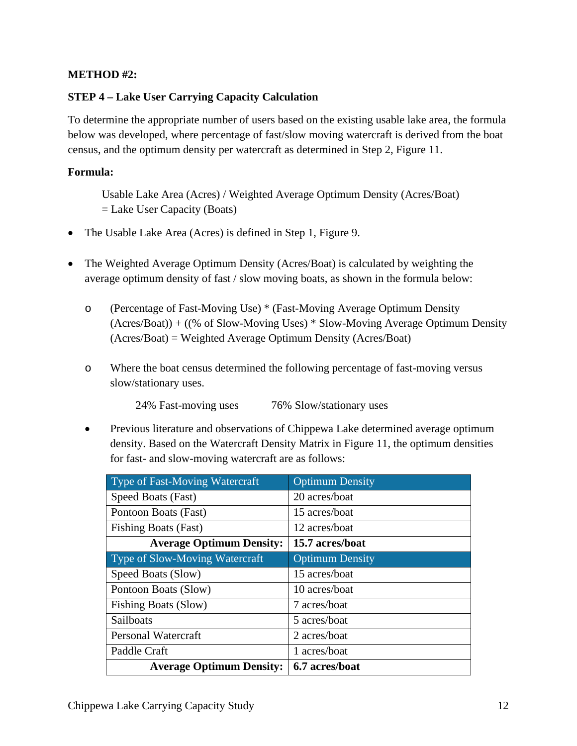#### **METHOD #2:**

#### **STEP 4 – Lake User Carrying Capacity Calculation**

To determine the appropriate number of users based on the existing usable lake area, the formula below was developed, where percentage of fast/slow moving watercraft is derived from the boat census, and the optimum density per watercraft as determined in Step 2, Figure 11.

#### **Formula:**

Usable Lake Area (Acres) / Weighted Average Optimum Density (Acres/Boat)  $=$  Lake User Capacity (Boats)

- The Usable Lake Area (Acres) is defined in Step 1, Figure 9.
- The Weighted Average Optimum Density (Acres/Boat) is calculated by weighting the average optimum density of fast / slow moving boats, as shown in the formula below:
	- o (Percentage of Fast-Moving Use) \* (Fast-Moving Average Optimum Density (Acres/Boat)) + ((% of Slow-Moving Uses) \* Slow-Moving Average Optimum Density (Acres/Boat) = Weighted Average Optimum Density (Acres/Boat)
	- o Where the boat census determined the following percentage of fast-moving versus slow/stationary uses.

24% Fast-moving uses 76% Slow/stationary uses

• Previous literature and observations of Chippewa Lake determined average optimum density. Based on the Watercraft Density Matrix in Figure 11, the optimum densities for fast- and slow-moving watercraft are as follows:

| <b>Type of Fast-Moving Watercraft</b> | <b>Optimum Density</b> |
|---------------------------------------|------------------------|
| Speed Boats (Fast)                    | 20 acres/boat          |
| Pontoon Boats (Fast)                  | 15 acres/boat          |
| <b>Fishing Boats (Fast)</b>           | 12 acres/boat          |
| <b>Average Optimum Density:</b>       | 15.7 acres/boat        |
| Type of Slow-Moving Watercraft        | <b>Optimum Density</b> |
| Speed Boats (Slow)                    | 15 acres/boat          |
| Pontoon Boats (Slow)                  | 10 acres/boat          |
| <b>Fishing Boats (Slow)</b>           | 7 acres/boat           |
| Sailboats                             | 5 acres/boat           |
| <b>Personal Watercraft</b>            | 2 acres/boat           |
| Paddle Craft                          | 1 acres/boat           |
| <b>Average Optimum Density:</b>       | 6.7 acres/boat         |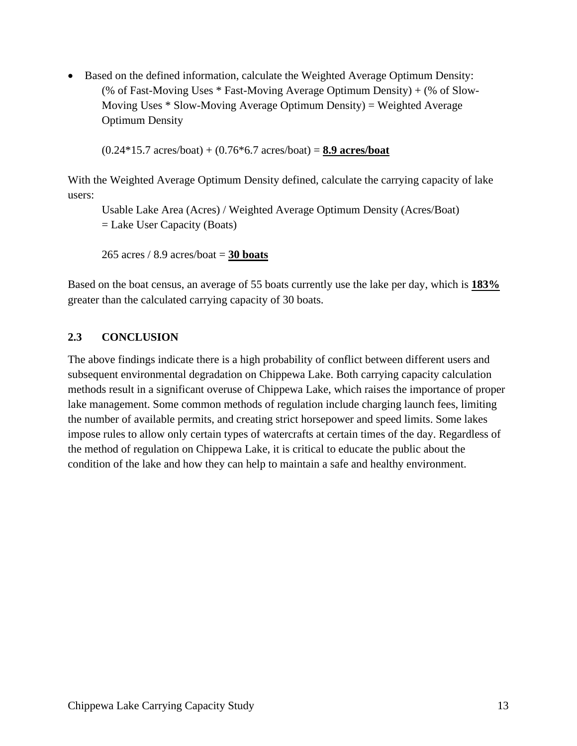• Based on the defined information, calculate the Weighted Average Optimum Density: (% of Fast-Moving Uses \* Fast-Moving Average Optimum Density) + (% of Slow-Moving Uses \* Slow-Moving Average Optimum Density) = Weighted Average Optimum Density

(0.24\*15.7 acres/boat) + (0.76\*6.7 acres/boat) = **8.9 acres/boat**

With the Weighted Average Optimum Density defined, calculate the carrying capacity of lake users:

Usable Lake Area (Acres) / Weighted Average Optimum Density (Acres/Boat) = Lake User Capacity (Boats)

265 acres / 8.9 acres/boat = **30 boats** 

Based on the boat census, an average of 55 boats currently use the lake per day, which is **183%** greater than the calculated carrying capacity of 30 boats.

#### **2.3 CONCLUSION**

The above findings indicate there is a high probability of conflict between different users and subsequent environmental degradation on Chippewa Lake. Both carrying capacity calculation methods result in a significant overuse of Chippewa Lake, which raises the importance of proper lake management. Some common methods of regulation include charging launch fees, limiting the number of available permits, and creating strict horsepower and speed limits. Some lakes impose rules to allow only certain types of watercrafts at certain times of the day. Regardless of the method of regulation on Chippewa Lake, it is critical to educate the public about the condition of the lake and how they can help to maintain a safe and healthy environment.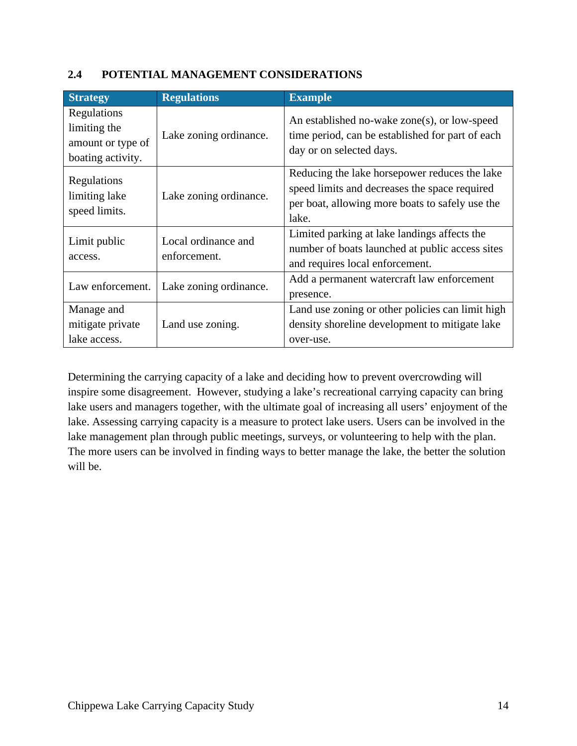#### **2.4 POTENTIAL MANAGEMENT CONSIDERATIONS**

| <b>Strategy</b>                                                       | <b>Regulations</b>                  | <b>Example</b>                                                                                                                                             |
|-----------------------------------------------------------------------|-------------------------------------|------------------------------------------------------------------------------------------------------------------------------------------------------------|
| Regulations<br>limiting the<br>amount or type of<br>boating activity. | Lake zoning ordinance.              | An established no-wake zone(s), or low-speed<br>time period, can be established for part of each<br>day or on selected days.                               |
| Regulations<br>limiting lake<br>speed limits.                         | Lake zoning ordinance.              | Reducing the lake horsepower reduces the lake<br>speed limits and decreases the space required<br>per boat, allowing more boats to safely use the<br>lake. |
| Limit public<br>access.                                               | Local ordinance and<br>enforcement. | Limited parking at lake landings affects the<br>number of boats launched at public access sites<br>and requires local enforcement.                         |
| Law enforcement.                                                      | Lake zoning ordinance.              | Add a permanent watercraft law enforcement<br>presence.                                                                                                    |
| Manage and<br>mitigate private<br>lake access.                        | Land use zoning.                    | Land use zoning or other policies can limit high<br>density shoreline development to mitigate lake<br>over-use.                                            |

Determining the carrying capacity of a lake and deciding how to prevent overcrowding will inspire some disagreement. However, studying a lake's recreational carrying capacity can bring lake users and managers together, with the ultimate goal of increasing all users' enjoyment of the lake. Assessing carrying capacity is a measure to protect lake users. Users can be involved in the lake management plan through public meetings, surveys, or volunteering to help with the plan. The more users can be involved in finding ways to better manage the lake, the better the solution will be.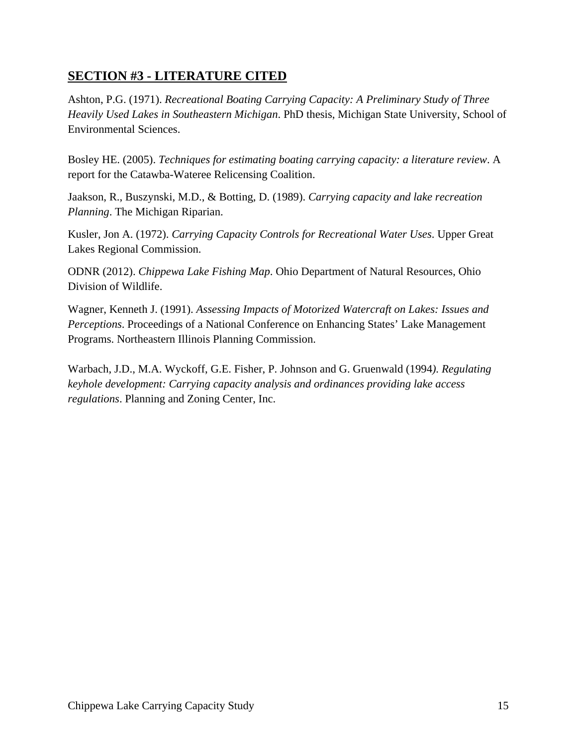## **SECTION #3 - LITERATURE CITED**

Ashton, P.G. (1971). *Recreational Boating Carrying Capacity: A Preliminary Study of Three Heavily Used Lakes in Southeastern Michigan*. PhD thesis, Michigan State University, School of Environmental Sciences.

Bosley HE. (2005). *Techniques for estimating boating carrying capacity: a literature review*. A report for the Catawba-Wateree Relicensing Coalition.

Jaakson, R., Buszynski, M.D., & Botting, D. (1989). *Carrying capacity and lake recreation Planning*. The Michigan Riparian.

Kusler, Jon A. (1972). *Carrying Capacity Controls for Recreational Water Uses*. Upper Great Lakes Regional Commission.

ODNR (2012). *Chippewa Lake Fishing Map*. Ohio Department of Natural Resources, Ohio Division of Wildlife.

Wagner, Kenneth J. (1991). *Assessing Impacts of Motorized Watercraft on Lakes: Issues and Perceptions*. Proceedings of a National Conference on Enhancing States' Lake Management Programs. Northeastern Illinois Planning Commission.

Warbach, J.D., M.A. Wyckoff, G.E. Fisher, P. Johnson and G. Gruenwald (1994*). Regulating keyhole development: Carrying capacity analysis and ordinances providing lake access regulations*. Planning and Zoning Center, Inc.